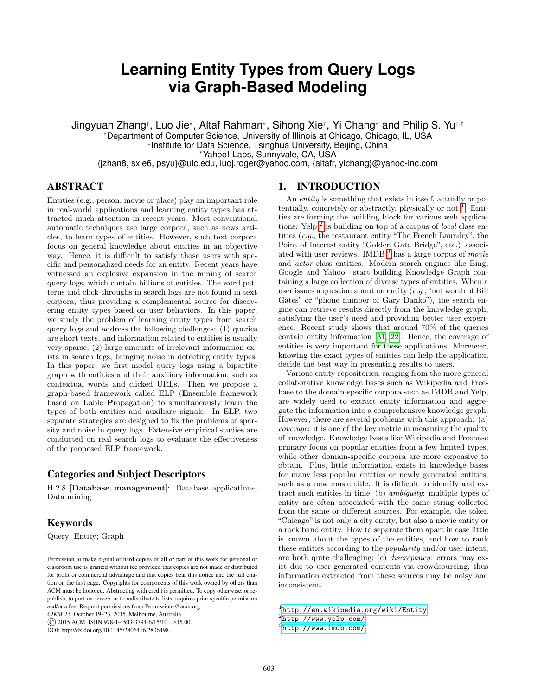# **Learning Entity Types from Query Logs via Graph-Based Modeling**

Jingyuan Zhang†, Luo Jie\*, Altaf Rahman\*, Sihong Xie†, Yi Chang\* and Philip S. Yu†,‡ †Department of Computer Science, University of Illinois at Chicago, Chicago, IL, USA ‡ Institute for Data Science, Tsinghua University, Beijing, China <sup>∗</sup>Yahoo! Labs, Sunnyvale, CA, USA {jzhan8, sxie6, psyu}@uic.edu, luoj.roger@yahoo.com, {altafr, yichang}@yahoo-inc.com

# ABSTRACT

Entities (e.g., person, movie or place) play an important role in real-world applications and learning entity types has attracted much attention in recent years. Most conventional automatic techniques use large corpora, such as news articles, to learn types of entities. However, such text corpora focus on general knowledge about entities in an objective way. Hence, it is difficult to satisfy those users with specific and personalized needs for an entity. Recent years have witnessed an explosive expansion in the mining of search query logs, which contain billions of entities. The word patterns and click-throughs in search logs are not found in text corpora, thus providing a complemental source for discovering entity types based on user behaviors. In this paper, we study the problem of learning entity types from search query logs and address the following challenges: (1) queries are short texts, and information related to entities is usually very sparse; (2) large amounts of irrelevant information exists in search logs, bringing noise in detecting entity types. In this paper, we first model query logs using a bipartite graph with entities and their auxiliary information, such as contextual words and clicked URLs. Then we propose a graph-based framework called ELP (Ensemble framework based on Lable Propagation) to simultaneously learn the types of both entities and auxiliary signals. In ELP, two separate strategies are designed to fix the problems of sparsity and noise in query logs. Extensive empirical studies are conducted on real search logs to evaluate the effectiveness of the proposed ELP framework.

# Categories and Subject Descriptors

H.2.8 [Database management]: Database applications-Data mining

# Keywords

Query; Entity; Graph

*CIKM'15,* October 19–23, 2015, Melbourne, Australia.

DOI: http://dx.doi.org/10.1145/2806416.2806498.

## 1. INTRODUCTION

An *entity* is something that exists in itself, actually or potentially, concretely or abstractly, physically or not  $<sup>1</sup>$  $<sup>1</sup>$  $<sup>1</sup>$ . Enti-</sup> ties are forming the building block for various web applications. Yelp  $^2$  $^2$  is building on top of a corpus of *local* class entities (e.g., the restaurant entity "The French Laundry", the Point of Interest entity "Golden Gate Bridge", etc.) associ-ated with user reviews. IMDB <sup>[3](#page-0-2)</sup> has a large corpus of movie and actor class entities. Modern search engines like Bing, Google and Yahoo! start building Knowledge Graph containing a large collection of diverse types of entities. When a user issues a question about an entity (e.g., "net worth of Bill Gates" or "phone number of Gary Danko"), the search engine can retrieve results directly from the knowledge graph, satisfying the user's need and providing better user experience. Recent study shows that around 70% of the queries contain entity information [\[31,](#page-9-0) [22\]](#page-9-1). Hence, the coverage of entities is very important for these applications. Moreover, knowing the exact types of entities can help the application decide the best way in presenting results to users.

Various entity repositories, ranging from the more general collaborative knowledge bases such as Wikipedia and Freebase to the domain-specific corpora such as IMDB and Yelp, are widely used to extract entity information and aggregate the information into a comprehensive knowledge graph. However, there are several problems with this approach: (a) coverage: it is one of the key metric in measuring the quality of knowledge. Knowledge bases like Wikipedia and Freebase primary focus on popular entities from a few limited types, while other domain-specific corpora are more expensive to obtain. Plus, little information exists in knowledge bases for many less popular entities or newly generated entities, such as a new music title. It is difficult to identify and extract such entities in time; (b) ambiguity: multiple types of entity are often associated with the same string collected from the same or different sources. For example, the token "Chicago" is not only a city entity, but also a movie entity or a rock band entity. How to separate them apart in case little is known about the types of the entities, and how to rank these entities according to the popularity and/or user intent, are both quite challenging; (c) discrepancy: errors may exist due to user-generated contents via crowdsourcing, thus information extracted from these sources may be noisy and inconsistent.

Permission to make digital or hard copies of all or part of this work for personal or classroom use is granted without fee provided that copies are not made or distributed for profit or commercial advantage and that copies bear this notice and the full citation on the first page. Copyrights for components of this work owned by others than ACM must be honored. Abstracting with credit is permitted. To copy otherwise, or republish, to post on servers or to redistribute to lists, requires prior specific permission and/or a fee. Request permissions from Permissions@acm.org.

<sup>©</sup> 2015 ACM. ISBN 978-1-4503-3794-6/15/10 ...\$15.00.

<span id="page-0-0"></span> $^1$ <http://en.wikipedia.org/wiki/Entity>

<span id="page-0-1"></span> $^{2}$ <http://www.yelp.com/>

<span id="page-0-2"></span><sup>3</sup> <http://www.imdb.com/>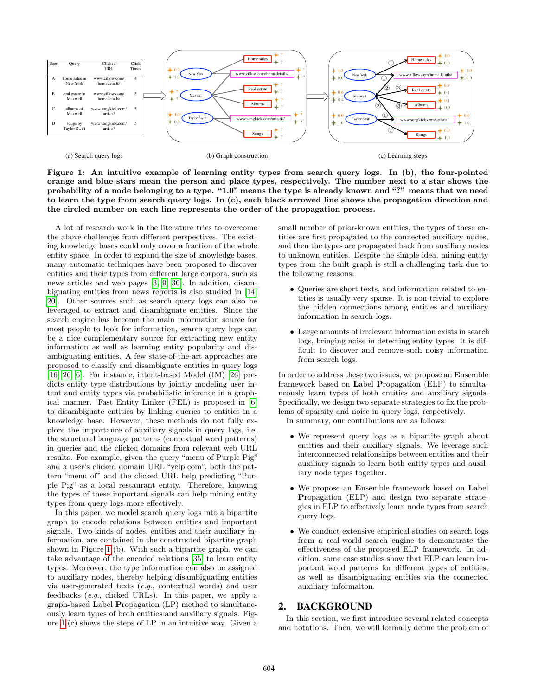

<span id="page-1-0"></span>Figure 1: An intuitive example of learning entity types from search query logs. In (b), the four-pointed orange and blue stars mean the person and place types, respectively. The number next to a star shows the probability of a node belonging to a type. "1.0" means the type is already known and "?" means that we need to learn the type from search query logs. In (c), each black arrowed line shows the propagation direction and the circled number on each line represents the order of the propagation process.

A lot of research work in the literature tries to overcome the above challenges from different perspectives. The existing knowledge bases could only cover a fraction of the whole entity space. In order to expand the size of knowledge bases, many automatic techniques have been proposed to discover entities and their types from different large corpora, such as news articles and web pages [\[3,](#page-9-2) [9,](#page-9-3) [30\]](#page-9-4). In addition, disambiguating entities from news reports is also studied in [\[14,](#page-9-5) [20\]](#page-9-6). Other sources such as search query logs can also be leveraged to extract and disambiguate entities. Since the search engine has become the main information source for most people to look for information, search query logs can be a nice complementary source for extracting new entity information as well as learning entity popularity and disambiguating entities. A few state-of-the-art approaches are proposed to classify and disambiguate entities in query logs [\[16,](#page-9-7) [26,](#page-9-8) [6\]](#page-9-9). For instance, intent-based Model (IM) [\[26\]](#page-9-8) predicts entity type distributions by jointly modeling user intent and entity types via probabilistic inference in a graphical manner. Fast Entity Linker (FEL) is proposed in [\[6\]](#page-9-9) to disambiguate entities by linking queries to entities in a knowledge base. However, these methods do not fully explore the importance of auxiliary signals in query logs, i.e. the structural language patterns (contextual word patterns) in queries and the clicked domains from relevant web URL results. For example, given the query "menu of Purple Pig" and a user's clicked domain URL "yelp.com", both the pattern "menu of" and the clicked URL help predicting "Purple Pig" as a local restaurant entity. Therefore, knowing the types of these important signals can help mining entity types from query logs more effectively.

In this paper, we model search query logs into a bipartite graph to encode relations between entities and important signals. Two kinds of nodes, entities and their auxiliary information, are contained in the constructed bipartite graph shown in Figure [1](#page-1-0) (b). With such a bipartite graph, we can take advantage of the encoded relations [\[35\]](#page-9-10) to learn entity types. Moreover, the type information can also be assigned to auxiliary nodes, thereby helping disambiguating entities via user-generated texts (e.g., contextual words) and user feedbacks (e.g., clicked URLs). In this paper, we apply a graph-based Label Propagation (LP) method to simultaneously learn types of both entities and auxiliary signals. Figure [1](#page-1-0) (c) shows the steps of LP in an intuitive way. Given a

small number of prior-known entities, the types of these entities are first propagated to the connected auxiliary nodes, and then the types are propagated back from auxiliary nodes to unknown entities. Despite the simple idea, mining entity types from the built graph is still a challenging task due to the following reasons:

- Queries are short texts, and information related to entities is usually very sparse. It is non-trivial to explore the hidden connections among entities and auxiliary information in search logs.
- Large amounts of irrelevant information exists in search logs, bringing noise in detecting entity types. It is difficult to discover and remove such noisy information from search logs.

In order to address these two issues, we propose an Ensemble framework based on Label Propagation (ELP) to simultaneously learn types of both entities and auxiliary signals. Specifically, we design two separate strategies to fix the problems of sparsity and noise in query logs, respectively. In summary, our contributions are as follows:

- We represent query logs as a bipartite graph about entities and their auxiliary signals. We leverage such interconnected relationships between entities and their auxiliary signals to learn both entity types and auxiliary node types together.
- We propose an Ensemble framework based on Label Propagation (ELP) and design two separate strategies in ELP to effectively learn node types from search query logs.
- We conduct extensive empirical studies on search logs from a real-world search engine to demonstrate the effectiveness of the proposed ELP framework. In addition, some case studies show that ELP can learn important word patterns for different types of entities, as well as disambiguating entities via the connected auxiliary informaiton.

# <span id="page-1-1"></span>2. BACKGROUND

In this section, we first introduce several related concepts and notations. Then, we will formally define the problem of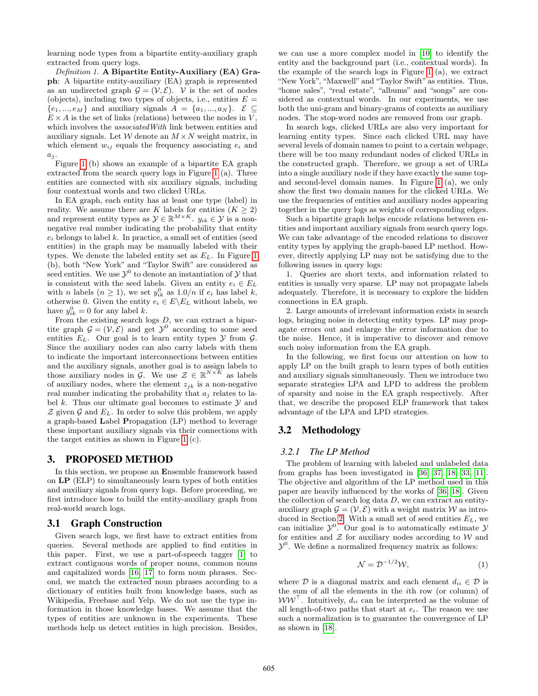learning node types from a bipartite entity-auxiliary graph extracted from query logs.

Definition 1. A Bipartite Entity-Auxiliary (EA) Graph: A bipartite entity-auxiliary (EA) graph is represented as an undirected graph  $\mathcal{G} = (\mathcal{V}, \mathcal{E})$ . V is the set of nodes (objects), including two types of objects, i.e., entities  $E =$  $\{e_1, ..., e_M\}$  and auxiliary signals  $A = \{a_1, ..., a_N\}$ .  $\mathcal{E} \subseteq$  $E \times A$  is the set of links (relations) between the nodes in V, which involves the *associated With* link between entities and auxiliary signals. Let W denote an  $M \times N$  weight matrix, in which element  $w_{ij}$  equals the frequency associating  $e_i$  and  $a_j$ .

Figure [1](#page-1-0) (b) shows an example of a bipartite EA graph extracted from the search query logs in Figure [1](#page-1-0) (a). Three entities are connected with six auxiliary signals, including four contextual words and two clicked URLs.

In EA graph, each entity has at least one type (label) in reality. We assume there are K labels for entities  $(K \geq 2)$ and represent entity types as  $\mathcal{Y} \in \mathbb{R}^{M \times K}$ .  $y_{ik} \in \mathcal{Y}$  is a nonnegative real number indicating the probability that entity  $e_i$  belongs to label  $k$ . In practice, a small set of entities (seed entities) in the graph may be manually labeled with their types. We denote the labeled entity set as  $E<sub>L</sub>$ . In Figure [1](#page-1-0) (b), both "New York" and "Taylor Swift" are considered as seed entities. We use  $\mathcal{Y}^0$  to denote an instantiation of  $\mathcal Y$  that is consistent with the seed labels. Given an entity  $e_i \in E_L$ with *n* labels  $(n \geq 1)$ , we set  $y_{ik}^0$  as  $1.0/n$  if  $e_i$  has label k, otherwise 0. Given the entity  $e_i \in E\backslash E_L$  without labels, we have  $y_{ik}^0 = 0$  for any label k.

From the existing search logs  $D$ , we can extract a bipartite graph  $\mathcal{G} = (\mathcal{V}, \mathcal{E})$  and get  $\mathcal{Y}^0$  according to some seed entities  $E_L$ . Our goal is to learn entity types  $\mathcal Y$  from  $\mathcal G$ . Since the auxiliary nodes can also carry labels with them to indicate the important interconnections between entities and the auxiliary signals, another goal is to assign labels to those auxiliary nodes in G. We use  $\mathcal{Z} \in \mathbb{R}^{N \times \bar{K}}$  as labels of auxiliary nodes, where the element  $z_{ik}$  is a non-negative real number indicating the probability that  $a_i$  relates to label k. Thus our ultimate goal becomes to estimate  $\mathcal Y$  and  $\mathcal Z$  given  $\mathcal G$  and  $E_L$ . In order to solve this problem, we apply a graph-based Label Propagation (LP) method to leverage these important auxiliary signals via their connections with the target entities as shown in Figure [1](#page-1-0) (c).

# 3. PROPOSED METHOD

In this section, we propose an Ensemble framework based on LP (ELP) to simultaneously learn types of both entities and auxiliary signals from query logs. Before proceeding, we first introduce how to build the entity-auxiliary graph from real-world search logs.

#### <span id="page-2-1"></span>3.1 Graph Construction

Given search logs, we first have to extract entities from queries. Several methods are applied to find entities in this paper. First, we use a part-of-speech tagger [\[1\]](#page-9-11) to extract contiguous words of proper nouns, common nouns and capitalized words [\[16,](#page-9-7) [17\]](#page-9-12) to form noun phrases. Second, we match the extracted noun phrases according to a dictionary of entities built from knowledge bases, such as Wikipedia, Freebase and Yelp. We do not use the type information in those knowledge bases. We assume that the types of entities are unknown in the experiments. These methods help us detect entities in high precision. Besides, we can use a more complex model in [\[10\]](#page-9-13) to identify the entity and the background part (i.e., contextual words). In the example of the search logs in Figure [1](#page-1-0) (a), we extract "New York", "Maxwell" and "Taylor Swift" as entities. Thus, "home sales", "real estate", "albums" and "songs" are considered as contextual words. In our experiments, we use both the uni-gram and binary-grams of contexts as auxiliary nodes. The stop-word nodes are removed from our graph.

In search logs, clicked URLs are also very important for learning entity types. Since each clicked URL may have several levels of domain names to point to a certain webpage, there will be too many redundant nodes of clicked URLs in the constructed graph. Therefore, we group a set of URLs into a single auxiliary node if they have exactly the same topand second-level domain names. In Figure [1](#page-1-0) (a), we only show the first two domain names for the clicked URLs. We use the frequencies of entities and auxiliary nodes appearing together in the query logs as weights of corresponding edges.

Such a bipartite graph helps encode relations between entities and important auxiliary signals from search query logs. We can take advantage of the encoded relations to discover entity types by applying the graph-based LP method. However, directly applying LP may not be satisfying due to the following issues in query logs:

1. Queries are short texts, and information related to entities is usually very sparse. LP may not propagate labels adequately. Therefore, it is necessary to explore the hidden connections in EA graph.

2. Large amounts of irrelevant information exists in search logs, bringing noise in detecting entity types. LP may propagate errors out and enlarge the error information due to the noise. Hence, it is imperative to discover and remove such noisy information from the EA graph.

In the following, we first focus our attention on how to apply LP on the built graph to learn types of both entities and auxiliary signals simultaneously. Then we introduce two separate strategies LPA and LPD to address the problem of sparsity and noise in the EA graph respectively. After that, we describe the proposed ELP framework that takes advantage of the LPA and LPD strategies.

# 3.2 Methodology

## *3.2.1 The LP Method*

The problem of learning with labeled and unlabeled data from graphs has been investigated in [\[36,](#page-9-14) [37,](#page-9-15) [18,](#page-9-16) [33,](#page-9-17) [11\]](#page-9-18). The objective and algorithm of the LP method used in this paper are heavily influenced by the works of [\[36,](#page-9-14) [18\]](#page-9-16). Given the collection of search log data  $D$ , we can extract an entityauxiliary graph  $\mathcal{G} = (\mathcal{V}, \mathcal{E})$  with a weight matrix W as intro-duced in Section [2.](#page-1-1) With a small set of seed entities  $E_L$ , we can initialize  $\mathcal{Y}^0$ . Our goal is to automatically estimate  $\mathcal{Y}$ for entities and  $Z$  for auxiliary nodes according to  $W$  and  $\mathcal{Y}^0$ . We define a normalized frequency matrix as follows:

<span id="page-2-0"></span>
$$
\mathcal{N} = \mathcal{D}^{-1/2} \mathcal{W},\tag{1}
$$

where  $D$  is a diagonal matrix and each element  $d_{ii} \in D$  is the sum of all the elements in the ith row (or column) of  $WW^{\top}$ . Intuitively,  $d_{ii}$  can be interpreted as the volume of all length-of-two paths that start at  $e_i$ . The reason we use such a normalization is to guarantee the convergence of LP as shown in [\[18\]](#page-9-16).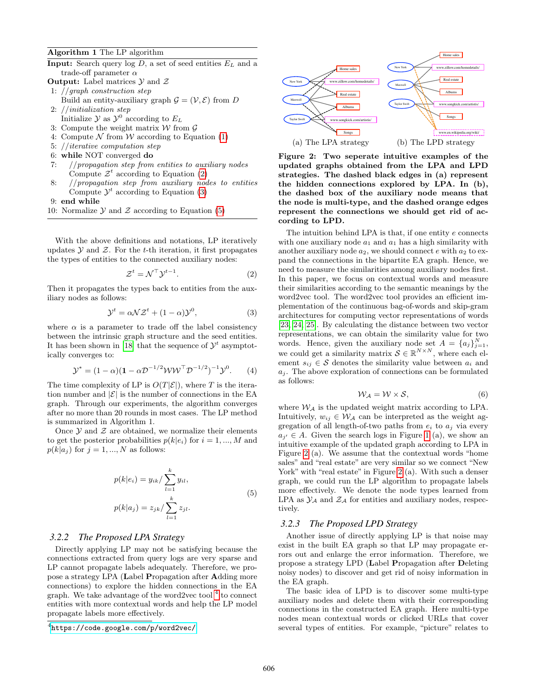#### Algorithm 1 The LP algorithm

- **Input:** Search query  $log D$ , a set of seed entities  $E<sub>L</sub>$  and a trade-off parameter  $\alpha$
- **Output:** Label matrices  $\mathcal Y$  and  $\mathcal Z$
- 1: //graph construction step
- Build an entity-auxiliary graph  $\mathcal{G} = (\mathcal{V}, \mathcal{E})$  from D 2: //initialization step
- Initialize  $\mathcal{Y}$  as  $\mathcal{Y}^0$  according to  $E_L$
- 3: Compute the weight matrix  $W$  from  $\mathcal G$
- 4: Compute  $\mathcal N$  from  $\mathcal W$  according to Equation [\(1\)](#page-2-0)
- 5: //iterative computation step
- 6: while NOT converged do
- 7: //propagation step from entities to auxiliary nodes Compute  $\mathcal{Z}^t$  according to Equation [\(2\)](#page-3-0)
- 8: //propagation step from auxiliary nodes to entities Compute  $\mathcal{Y}^t$  according to Equation [\(3\)](#page-3-1)
- 9: end while
- 10: Normalize  $\mathcal Y$  and  $\mathcal Z$  according to Equation [\(5\)](#page-3-2)

With the above definitions and notations, LP iteratively updates  $Y$  and  $Z$ . For the t-th iteration, it first propagates the types of entities to the connected auxiliary nodes:

<span id="page-3-0"></span>
$$
\mathcal{Z}^t = \mathcal{N}^\top \mathcal{Y}^{t-1}.\tag{2}
$$

Then it propagates the types back to entities from the auxiliary nodes as follows:

<span id="page-3-1"></span>
$$
\mathcal{Y}^t = \alpha \mathcal{N} \mathcal{Z}^t + (1 - \alpha) \mathcal{Y}^0,\tag{3}
$$

where  $\alpha$  is a parameter to trade off the label consistency between the intrinsic graph structure and the seed entities. It has been shown in [\[18\]](#page-9-16) that the sequence of  $\mathcal{Y}^t$  asymptotically converges to:

$$
\mathcal{Y}^* = (1 - \alpha)(1 - \alpha \mathcal{D}^{-1/2} \mathcal{W} \mathcal{W}^\top \mathcal{D}^{-1/2})^{-1} \mathcal{Y}^0. \tag{4}
$$

The time complexity of LP is  $O(T|\mathcal{E}|)$ , where T is the iteration number and  $|\mathcal{E}|$  is the number of connections in the EA graph. Through our experiments, the algorithm converges after no more than 20 rounds in most cases. The LP method is summarized in Algorithm 1.

Once  $\mathcal Y$  and  $\mathcal Z$  are obtained, we normalize their elements to get the posterior probabilities  $p(k|e_i)$  for  $i = 1, ..., M$  and  $p(k|a_j)$  for  $j = 1, ..., N$  as follows:

$$
p(k|e_i) = y_{ik} / \sum_{l=1}^{k} y_{il},
$$
  
\n
$$
p(k|a_j) = z_{jk} / \sum_{l=1}^{k} z_{jl}.
$$
\n(5)

#### <span id="page-3-2"></span>*3.2.2 The Proposed LPA Strategy*

Directly applying LP may not be satisfying because the connections extracted from query logs are very sparse and LP cannot propagate labels adequately. Therefore, we propose a strategy LPA (Label Propagation after Adding more connections) to explore the hidden connections in the EA graph. We take advantage of the word2vec tool  $<sup>4</sup>$  $<sup>4</sup>$  $<sup>4</sup>$  to connect</sup> entities with more contextual words and help the LP model propagate labels more effectively.



<span id="page-3-4"></span>Figure 2: Two seperate intuitive examples of the updated graphs obtained from the LPA and LPD strategies. The dashed black edges in (a) represent the hidden connections explored by LPA. In (b), the dashed box of the auxiliary node means that the node is multi-type, and the dashed orange edges represent the connections we should get rid of according to LPD.

The intuition behind LPA is that, if one entity e connects with one auxiliary node  $a_1$  and  $a_1$  has a high similarity with another auxiliary node  $a_2$ , we should connect e with  $a_2$  to expand the connections in the bipartite EA graph. Hence, we need to measure the similarities among auxiliary nodes first. In this paper, we focus on contextual words and measure their similarities according to the semantic meanings by the word2vec tool. The word2vec tool provides an efficient implementation of the continuous bag-of-words and skip-gram architectures for computing vector representations of words [\[23,](#page-9-19) [24,](#page-9-20) [25\]](#page-9-21). By calculating the distance between two vector representations, we can obtain the similarity value for two words. Hence, given the auxiliary node set  $A = \{a_j\}_{j=1}^N$ , we could get a similarity matrix  $\mathcal{S} \in \mathbb{R}^{N \times N}$ , where each element  $s_{ij} \in \mathcal{S}$  denotes the similarity value between  $a_i$  and  $a_i$ . The above exploration of connections can be formulated as follows:

$$
\mathcal{W}_{\mathcal{A}} = \mathcal{W} \times \mathcal{S},\tag{6}
$$

where  $\mathcal{W}_{\mathcal{A}}$  is the updated weight matrix according to LPA. Intuitively,  $w_{ij} \in \mathcal{W}_{\mathcal{A}}$  can be interpreted as the weight aggregation of all length-of-two paths from  $e_i$  to  $a_j$  via every  $a_{j'} \in A$ . Given the search logs in Figure [1](#page-1-0) (a), we show an intuitive example of the updated graph according to LPA in Figure [2](#page-3-4) (a). We assume that the contextual words "home sales" and "real estate" are very similar so we connect "New York" with "real estate" in Figure [2](#page-3-4) (a). With such a denser graph, we could run the LP algorithm to propagate labels more effectively. We denote the node types learned from LPA as  $\mathcal{Y}_\mathcal{A}$  and  $\mathcal{Z}_\mathcal{A}$  for entities and auxiliary nodes, respectively.

#### *3.2.3 The Proposed LPD Strategy*

Another issue of directly applying LP is that noise may exist in the built EA graph so that LP may propagate errors out and enlarge the error information. Therefore, we propose a strategy LPD (Label Propagation after Deleting noisy nodes) to discover and get rid of noisy information in the EA graph.

The basic idea of LPD is to discover some multi-type auxiliary nodes and delete them with their corresponding connections in the constructed EA graph. Here multi-type nodes mean contextual words or clicked URLs that cover several types of entities. For example, "picture" relates to

<span id="page-3-3"></span> $^4$ <https://code.google.com/p/word2vec/>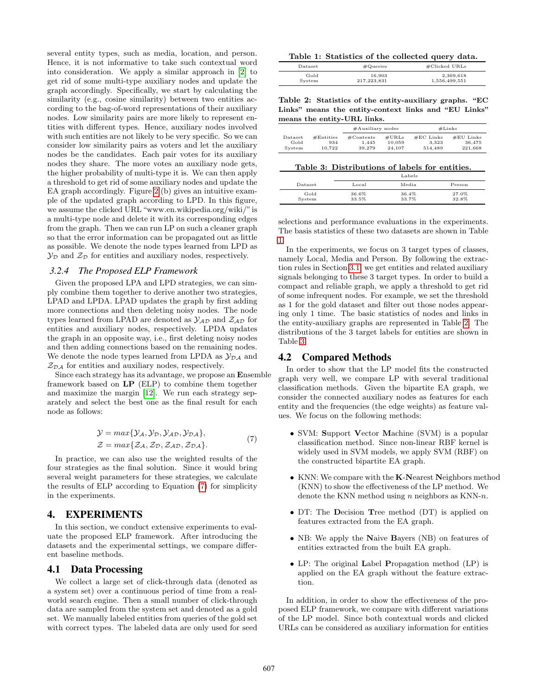several entity types, such as media, location, and person. Hence, it is not informative to take such contextual word into consideration. We apply a similar approach in [\[2\]](#page-9-22) to get rid of some multi-type auxiliary nodes and update the graph accordingly. Specifically, we start by calculating the similarity (e.g., cosine similarity) between two entities according to the bag-of-word representations of their auxiliary nodes. Low similarity pairs are more likely to represent entities with different types. Hence, auxiliary nodes involved with such entities are not likely to be very specific. So we can consider low similarity pairs as voters and let the auxiliary nodes be the candidates. Each pair votes for its auxiliary nodes they share. The more votes an auxiliary node gets, the higher probability of multi-type it is. We can then apply a threshold to get rid of some auxiliary nodes and update the EA graph accordingly. Figure [2](#page-3-4) (b) gives an intuitive example of the updated graph according to LPD. In this figure, we assume the clicked URL "www.en.wikipedia.org/wiki/"is a multi-type node and delete it with its corresponding edges from the graph. Then we can run LP on such a cleaner graph so that the error information can be propagated out as little as possible. We denote the node types learned from LPD as  $\mathcal{Y}_{\mathcal{D}}$  and  $\mathcal{Z}_{\mathcal{D}}$  for entities and auxiliary nodes, respectively.

#### *3.2.4 The Proposed ELP Framework*

Given the proposed LPA and LPD strategies, we can simply combine them together to derive another two strategies, LPAD and LPDA. LPAD updates the graph by first adding more connections and then deleting noisy nodes. The node types learned from LPAD are denoted as  $\mathcal{Y}_{AD}$  and  $\mathcal{Z}_{AD}$  for entities and auxiliary nodes, respectively. LPDA updates the graph in an opposite way, i.e., first deleting noisy nodes and then adding connections based on the remaining nodes. We denote the node types learned from LPDA as  $\mathcal{Y}_{\mathcal{D}\mathcal{A}}$  and  $\mathcal{Z}_{\mathcal{D}\mathcal{A}}$  for entities and auxiliary nodes, respectively.

Since each strategy has its advantage, we propose an Ensemble framework based on LP (ELP) to combine them together and maximize the margin [\[12\]](#page-9-23). We run each strategy separately and select the best one as the final result for each node as follows:

$$
\mathcal{Y} = \max{\{\mathcal{Y}_A, \mathcal{Y}_D, \mathcal{Y}_{AD}, \mathcal{Y}_{DA}\}},
$$
  

$$
\mathcal{Z} = \max{\{\mathcal{Z}_A, \mathcal{Z}_D, \mathcal{Z}_{AD}, \mathcal{Z}_{DA}\}}.
$$
 (7)

<span id="page-4-0"></span>In practice, we can also use the weighted results of the four strategies as the final solution. Since it would bring several weight parameters for these strategies, we calculate the results of ELP according to Equation [\(7\)](#page-4-0) for simplicity in the experiments.

# 4. EXPERIMENTS

In this section, we conduct extensive experiments to evaluate the proposed ELP framework. After introducing the datasets and the experimental settings, we compare different baseline methods.

## 4.1 Data Processing

We collect a large set of click-through data (denoted as a system set) over a continuous period of time from a realworld search engine. Then a small number of click-through data are sampled from the system set and denoted as a gold set. We manually labeled entities from queries of the gold set with correct types. The labeled data are only used for seed

<span id="page-4-1"></span>

|  | Table 1: Statistics of the collected query data. |  |  |  |  |
|--|--------------------------------------------------|--|--|--|--|
|--|--------------------------------------------------|--|--|--|--|

| Dataset | $\#\mathrm{Queries}$ | $\#$ Clicked URLs |
|---------|----------------------|-------------------|
| Gold    | 16.903               | 2,369,618         |
| System  | 217,223,831          | 1,556,499,551     |

<span id="page-4-2"></span>Table 2: Statistics of the entity-auxiliary graphs. "EC Links" means the entity-context links and "EU Links" means the entity-URL links.

|                                                         | $#$ Auxiliary nodes          |                           |                                 | $#$ Links                        |
|---------------------------------------------------------|------------------------------|---------------------------|---------------------------------|----------------------------------|
| #Entities<br>Dataset<br>Gold<br>934<br>10.722<br>System | #Contexts<br>1.445<br>39.279 | #URLs<br>10.059<br>24.107 | $#EC$ Links<br>3.323<br>514.489 | $#EU$ Links<br>36.475<br>221.668 |

<span id="page-4-3"></span>

|  |  | Table 3: Distributions of labels for entities. |  |  |
|--|--|------------------------------------------------|--|--|
|--|--|------------------------------------------------|--|--|

|                |                | Labels         |                |
|----------------|----------------|----------------|----------------|
| Dataset        | Local          | Media          | Person         |
| Gold<br>System | 36.6%<br>33.5% | 36.4%<br>33.7% | 27.0%<br>32.8% |

selections and performance evaluations in the experiments. The basis statistics of these two datasets are shown in Table [1.](#page-4-1)

In the experiments, we focus on 3 target types of classes, namely Local, Media and Person. By following the extraction rules in Section [3.1,](#page-2-1) we get entities and related auxiliary signals belonging to these 3 target types. In order to build a compact and reliable graph, we apply a threshold to get rid of some infrequent nodes. For example, we set the threshold as 1 for the gold dataset and filter out those nodes appearing only 1 time. The basic statistics of nodes and links in the entity-auxiliary graphs are represented in Table [2.](#page-4-2) The distributions of the 3 target labels for entities are shown in Table [3.](#page-4-3)

# 4.2 Compared Methods

In order to show that the LP model fits the constructed graph very well, we compare LP with several traditional classification methods. Given the bipartite EA graph, we consider the connected auxiliary nodes as features for each entity and the frequencies (the edge weights) as feature values. We focus on the following methods:

- SVM: Support Vector Machine (SVM) is a popular classification method. Since non-linear RBF kernel is widely used in SVM models, we apply SVM (RBF) on the constructed bipartite EA graph.
- KNN: We compare with the K-Nearest Neighbors method (KNN) to show the effectiveness of the LP method. We denote the KNN method using n neighbors as KNN-n.
- DT: The Decision Tree method (DT) is applied on features extracted from the EA graph.
- NB: We apply the Naive Bayers (NB) on features of entities extracted from the built EA graph.
- LP: The original Label Propagation method (LP) is applied on the EA graph without the feature extraction.

In addition, in order to show the effectiveness of the proposed ELP framework, we compare with different variations of the LP model. Since both contextual words and clicked URLs can be considered as auxiliary information for entities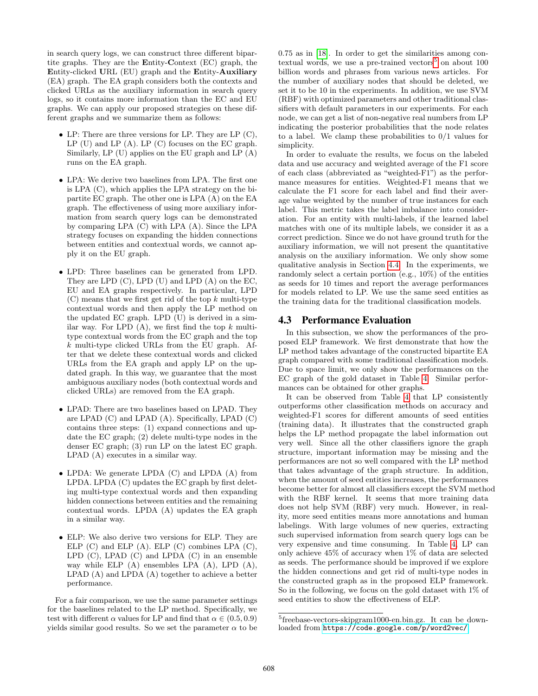in search query logs, we can construct three different bipartite graphs. They are the Entity-Context (EC) graph, the Entity-clicked URL (EU) graph and the Entity-Auxiliary (EA) graph. The EA graph considers both the contexts and clicked URLs as the auxiliary information in search query logs, so it contains more information than the EC and EU graphs. We can apply our proposed strategies on these different graphs and we summarize them as follows:

- LP: There are three versions for LP. They are LP  $(C)$ ,  $LP$  (U) and  $LP$  (A).  $LP$  (C) focuses on the EC graph. Similarly, LP (U) applies on the EU graph and LP (A) runs on the EA graph.
- LPA: We derive two baselines from LPA. The first one is LPA (C), which applies the LPA strategy on the bipartite EC graph. The other one is LPA (A) on the EA graph. The effectiveness of using more auxiliary information from search query logs can be demonstrated by comparing LPA (C) with LPA (A). Since the LPA strategy focuses on expanding the hidden connections between entities and contextual words, we cannot apply it on the EU graph.
- LPD: Three baselines can be generated from LPD. They are LPD (C), LPD (U) and LPD (A) on the EC, EU and EA graphs respectively. In particular, LPD  $(C)$  means that we first get rid of the top k multi-type contextual words and then apply the LP method on the updated EC graph. LPD (U) is derived in a similar way. For LPD  $(A)$ , we first find the top k multitype contextual words from the EC graph and the top k multi-type clicked URLs from the EU graph. After that we delete these contextual words and clicked URLs from the EA graph and apply LP on the updated graph. In this way, we guarantee that the most ambiguous auxiliary nodes (both contextual words and clicked URLs) are removed from the EA graph.
- LPAD: There are two baselines based on LPAD. They are LPAD (C) and LPAD (A). Specifically, LPAD (C) contains three steps: (1) expand connections and update the EC graph; (2) delete multi-type nodes in the denser EC graph; (3) run LP on the latest EC graph. LPAD (A) executes in a similar way.
- LPDA: We generate LPDA (C) and LPDA (A) from LPDA. LPDA (C) updates the EC graph by first deleting multi-type contextual words and then expanding hidden connections between entities and the remaining contextual words. LPDA (A) updates the EA graph in a similar way.
- ELP: We also derive two versions for ELP. They are ELP  $(C)$  and ELP  $(A)$ . ELP  $(C)$  combines LPA  $(C)$ , LPD (C), LPAD (C) and LPDA (C) in an ensemble way while ELP (A) ensembles LPA (A), LPD (A), LPAD (A) and LPDA (A) together to achieve a better performance.

For a fair comparison, we use the same parameter settings for the baselines related to the LP method. Specifically, we test with different  $\alpha$  values for LP and find that  $\alpha \in (0.5, 0.9)$ yields similar good results. So we set the parameter  $\alpha$  to be 0.75 as in [\[18\]](#page-9-16). In order to get the similarities among con-textual words, we use a pre-trained vectors<sup>[5](#page-5-0)</sup> on about  $100$ billion words and phrases from various news articles. For the number of auxiliary nodes that should be deleted, we set it to be 10 in the experiments. In addition, we use SVM (RBF) with optimized parameters and other traditional classifiers with default parameters in our experiments. For each node, we can get a list of non-negative real numbers from LP indicating the posterior probabilities that the node relates to a label. We clamp these probabilities to  $0/1$  values for simplicity.

In order to evaluate the results, we focus on the labeled data and use accuracy and weighted average of the F1 score of each class (abbreviated as "weighted-F1") as the performance measures for entities. Weighted-F1 means that we calculate the F1 score for each label and find their average value weighted by the number of true instances for each label. This metric takes the label imbalance into consideration. For an entity with multi-labels, if the learned label matches with one of its multiple labels, we consider it as a correct prediction. Since we do not have ground truth for the auxiliary information, we will not present the quantitative analysis on the auxiliary information. We only show some qualitative analysis in Section [4.4.](#page-6-0) In the experiments, we randomly select a certain portion (e.g., 10%) of the entities as seeds for 10 times and report the average performances for models related to LP. We use the same seed entities as the training data for the traditional classification models.

## 4.3 Performance Evaluation

In this subsection, we show the performances of the proposed ELP framework. We first demonstrate that how the LP method takes advantage of the constructed bipartite EA graph compared with some traditional classification models. Due to space limit, we only show the performances on the EC graph of the gold dataset in Table [4.](#page-6-1) Similar performances can be obtained for other graphs.

It can be observed from Table [4](#page-6-1) that LP consistently outperforms other classification methods on accuracy and weighted-F1 scores for different amounts of seed entities (training data). It illustrates that the constructed graph helps the LP method propagate the label information out very well. Since all the other classifiers ignore the graph structure, important information may be missing and the performances are not so well compared with the LP method that takes advantage of the graph structure. In addition, when the amount of seed entities increases, the performances become better for almost all classifiers except the SVM method with the RBF kernel. It seems that more training data does not help SVM (RBF) very much. However, in reality, more seed entities means more annotations and human labelings. With large volumes of new queries, extracting such supervised information from search query logs can be very expensive and time consuming. In Table [4,](#page-6-1) LP can only achieve 45% of accuracy when 1% of data are selected as seeds. The performance should be improved if we explore the hidden connections and get rid of multi-type nodes in the constructed graph as in the proposed ELP framework. So in the following, we focus on the gold dataset with 1% of seed entities to show the effectiveness of ELP.

<span id="page-5-0"></span><sup>5</sup> freebase-vectors-skipgram1000-en.bin.gz. It can be downloaded from <https://code.google.com/p/word2vec/>.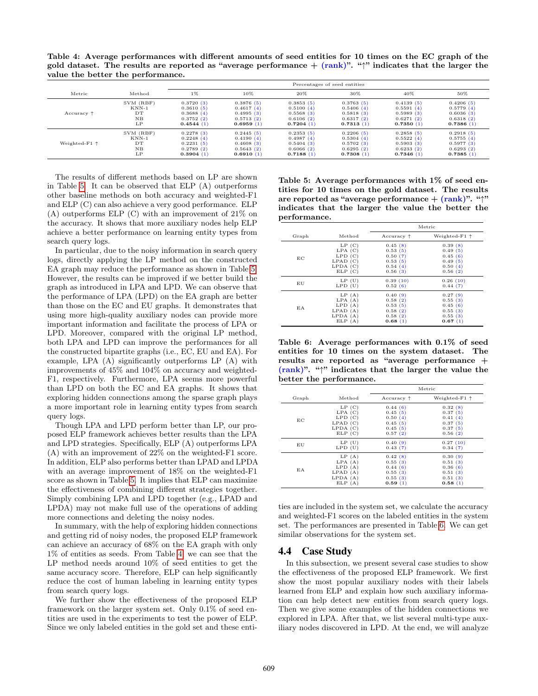<span id="page-6-1"></span>Table 4: Average performances with different amounts of seed entities for 10 times on the EC graph of the gold dataset. The results are reported as "average performance  $+$  (rank)". " $\gamma$ " indicates that the larger the value the better the performance.

|                        |           | Percentages of seed entities |           |           |           |           |           |
|------------------------|-----------|------------------------------|-----------|-----------|-----------|-----------|-----------|
| Metric                 | Method    | $1\%$                        | 10%       | 20%       | 30%       | 40%       | 50%       |
|                        | SVM (RBF) | 0.3720(3)                    | 0.3876(5) | 0.3853(5) | 0.3763(5) | 0.4139(5) | 0.4206(5) |
|                        | $KNN-1$   | 0.3610(5)                    | 0.4617(4) | 0.5100(4) | 0.5406(4) | 0.5591(4) | 0.5779(4) |
| Accuracy $\uparrow$    | DT        | 0.3688(4)                    | 0.4995(3) | 0.5568(3) | 0.5818(3) | 0.5989(3) | 0.6036(3) |
|                        | NB        | 0.3752(2)                    | 0.5713(2) | 0.6106(2) | 0.6317(2) | 0.6271(2) | 0.6318(2) |
|                        | LP        | 0.4544(1)                    | 0.6959(1) | 0.7204(1) | 0.7313(1) | 0.7350(1) | 0.7386(1) |
|                        | SVM (RBF) | 0.2278(3)                    | 0.2445(5) | 0.2353(5) | 0.2206(5) | 0.2858(5) | 0.2918(5) |
|                        | $KNN-1$   | 0.2248(4)                    | 0.4190(4) | 0.4987(4) | 0.5304(4) | 0.5522(4) | 0.5755(4) |
| Weighted-F1 $\uparrow$ | DT        | 0.2231(5)                    | 0.4608(3) | 0.5404(3) | 0.5702(3) | 0.5903(3) | 0.5977(3) |
|                        | NB        | 0.2789(2)                    | 0.5643(2) | 0.6066(2) | 0.6295(2) | 0.6233(2) | 0.6293(2) |
|                        | LP        | 0.3904(1)                    | 0.6910(1) | 0.7188(1) | 0.7308(1) | 0.7346(1) | 0.7385(1) |

The results of different methods based on LP are shown in Table [5.](#page-6-2) It can be observed that ELP (A) outperforms other baseline methods on both accuracy and weighted-F1 and ELP (C) can also achieve a very good performance. ELP  $(A)$  outperforms ELP  $(C)$  with an improvement of  $21\%$  on the accuracy. It shows that more auxiliary nodes help ELP achieve a better performance on learning entity types from search query logs.

In particular, due to the noisy information in search query logs, directly applying the LP method on the constructed EA graph may reduce the performance as shown in Table [5.](#page-6-2) However, the results can be improved if we better build the graph as introduced in LPA and LPD. We can observe that the performance of LPA (LPD) on the EA graph are better than those on the EC and EU graphs. It demonstrates that using more high-quality auxiliary nodes can provide more important information and facilitate the process of LPA or LPD. Moreover, compared with the original LP method, both LPA and LPD can improve the performances for all the constructed bipartite graphs (i.e., EC, EU and EA). For example, LPA (A) significantly outperforms LP (A) with improvements of 45% and 104% on accuracy and weighted-F1, respectively. Furthermore, LPA seems more powerful than LPD on both the EC and EA graphs. It shows that exploring hidden connections among the sparse graph plays a more important role in learning entity types from search query logs.

Though LPA and LPD perform better than LP, our proposed ELP framework achieves better results than the LPA and LPD strategies. Specifically, ELP (A) outperforms LPA (A) with an improvement of 22% on the weighted-F1 score. In addition, ELP also performs better than LPAD and LPDA with an average improvement of 18% on the weighted-F1 score as shown in Table [5.](#page-6-2) It implies that ELP can maximize the effectiveness of combining different strategies together. Simply combining LPA and LPD together (e.g., LPAD and LPDA) may not make full use of the operations of adding more connections and deleting the noisy nodes.

In summary, with the help of exploring hidden connections and getting rid of noisy nodes, the proposed ELP framework can achieve an accuracy of 68% on the EA graph with only 1% of entities as seeds. From Table [4,](#page-6-1) we can see that the LP method needs around 10% of seed entities to get the same accuracy score. Therefore, ELP can help significantly reduce the cost of human labeling in learning entity types from search query logs.

We further show the effectiveness of the proposed ELP framework on the larger system set. Only 0.1% of seed entities are used in the experiments to test the power of ELP. Since we only labeled entities in the gold set and these enti-

<span id="page-6-2"></span>Table 5: Average performances with 1% of seed entities for 10 times on the gold dataset. The results are reported as "average performance  $+$   $(rank)$ ". " $\uparrow$ " indicates that the larger the value the better the performance.

|       |               |                     | Metric                 |
|-------|---------------|---------------------|------------------------|
| Graph | Method        | Accuracy $\uparrow$ | Weighted-F1 $\uparrow$ |
| EC    | LP(C)         | 0.45(8)             | 0.39(8)                |
|       | $LPA$ $(C)$   | 0.53(5)             | 0.49(5)                |
|       | LPD(C)        | 0.50(7)             | 0.45(6)                |
|       | $L$ PAD $(C)$ | 0.53(5)             | 0.49(5)                |
|       | LPDA(C)       | 0.54(4)             | 0.50(4)                |
|       | ELP(C)        | 0.56(3)             | 0.56(2)                |
| EU    | LP(U)         | 0.39(10)            | 0.26(10)               |
|       | $LPD$ $(U)$   | 0.52(6)             | 0.44(7)                |
| EA    | LP(A)         | 0.40(9)             | 0.27(9)                |
|       | LPA(A)        | 0.58(2)             | 0.55(3)                |
|       | LPD(A)        | 0.53(5)             | 0.45(6)                |
|       | $L$ PAD $(A)$ | 0.58(2)             | 0.55(3)                |
|       | LPDA(A)       | 0.58(2)             | 0.55(3)                |
|       | ELP(A)        | 0.68(1)             | 0.67(1)                |

<span id="page-6-3"></span>Table 6: Average performances with 0.1% of seed entities for 10 times on the system dataset. The results are reported as "average performance + (rank)". "↑" indicates that the larger the value the better the performance.

|       |               |                     | Metric                 |
|-------|---------------|---------------------|------------------------|
| Graph | Method        | Accuracy $\uparrow$ | Weighted-F1 $\uparrow$ |
| EC    | LP(C)         | 0.44(6)             | 0.32(8)                |
|       | $LPA$ $(C)$   | 0.45(5)             | 0.37(5)                |
|       | LPD(C)        | 0.50(4)             | 0.41(4)                |
|       | LPAD(C)       | 0.45(5)             | 0.37(5)                |
|       | LPDA(C)       | 0.45(5)             | 0.37(5)                |
|       | ELP(C)        | 0.57(2)             | 0.56(2)                |
| ΕU    | LP(U)         | 0.40(9)             | 0.27(10)               |
|       | $LPD$ $(U)$   | 0.43(7)             | 0.34(7)                |
| E A   | LP(A)         | 0.42(8)             | 0.30(9)                |
|       | LPA(A)        | 0.55(3)             | 0.51(3)                |
|       | LPD(A)        | 0.44(6)             | 0.36(6)                |
|       | $L$ PAD $(A)$ | 0.55(3)             | 0.51(3)                |
|       | LPDA(A)       | 0.55(3)             | 0.51(3)                |
|       | ELP(A)        | 0.59(1)             | 0.58(1)                |

ties are included in the system set, we calculate the accuracy and weighted-F1 scores on the labeled entities in the system set. The performances are presented in Table [6.](#page-6-3) We can get similar observations for the system set.

#### <span id="page-6-0"></span>4.4 Case Study

In this subsection, we present several case studies to show the effectiveness of the proposed ELP framework. We first show the most popular auxiliary nodes with their labels learned from ELP and explain how such auxiliary information can help detect new entities from search query logs. Then we give some examples of the hidden connections we explored in LPA. After that, we list several multi-type auxiliary nodes discovered in LPD. At the end, we will analyze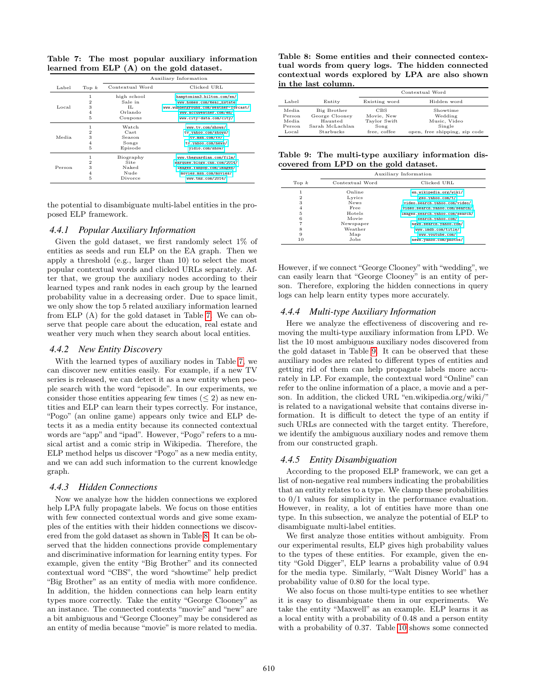<span id="page-7-0"></span>

|                                           |  | Table 7: The most popular auxiliary information |  |
|-------------------------------------------|--|-------------------------------------------------|--|
| learned from ELP (A) on the gold dataset. |  |                                                 |  |

|        |                |                 | Auxiliary Information                 |
|--------|----------------|-----------------|---------------------------------------|
| Label  | Top $k$        | Contextual Word | Clicked URL                           |
|        | 1              | high school     | hamptoninn3.hilton.com/en/            |
|        | 2              | Sale in         | www.homes.com/Real Estate             |
| Local  | 3              | TL.             | www.wunderground.com/weather-forcast/ |
|        | $\overline{4}$ | Orlando         | www.accuweather.com/en/               |
|        | 5              | Coupons         | www.city-data.com/city/               |
|        | 1              | Watch           | www.tv.com/shows/                     |
|        | 2              | Cast            | tv.yahoo.com/shows/                   |
| Media. | 3              | Season          | tv.msn.com/tv/                        |
|        | $\overline{4}$ | Songs           | tv.yahoo.com/news/                    |
|        | 5              | Episode         | yidio.com/show/                       |
|        | 1              | Biography       | www.theguardian.com/film/             |
|        | 2              | Site            | marquee.blogs.cnn.com/2014/           |
| Person | 3              | Naked           | images.fanpop.com/images/             |
|        | $\overline{4}$ | Nude            | movies.msn.com/movies/                |
|        | 5              | Divorce         | www.tmz.com/2014/                     |

the potential to disambiguate multi-label entities in the proposed ELP framework.

#### *4.4.1 Popular Auxiliary Information*

Given the gold dataset, we first randomly select 1% of entities as seeds and run ELP on the EA graph. Then we apply a threshold (e.g., larger than 10) to select the most popular contextual words and clicked URLs separately. After that, we group the auxiliary nodes according to their learned types and rank nodes in each group by the learned probability value in a decreasing order. Due to space limit, we only show the top 5 related auxiliary information learned from ELP (A) for the gold dataset in Table [7.](#page-7-0) We can observe that people care about the education, real estate and weather very much when they search about local entities.

#### *4.4.2 New Entity Discovery*

With the learned types of auxiliary nodes in Table [7,](#page-7-0) we can discover new entities easily. For example, if a new TV series is released, we can detect it as a new entity when people search with the word "episode". In our experiments, we consider those entities appearing few times  $(< 2$ ) as new entities and ELP can learn their types correctly. For instance, "Pogo" (an online game) appears only twice and ELP detects it as a media entity because its connected contextual words are "app" and "ipad". However, "Pogo" refers to a musical artist and a comic strip in Wikipedia. Therefore, the ELP method helps us discover "Pogo" as a new media entity, and we can add such information to the current knowledge graph.

#### *4.4.3 Hidden Connections*

Now we analyze how the hidden connections we explored help LPA fully propagate labels. We focus on those entities with few connected contextual words and give some examples of the entities with their hidden connections we discovered from the gold dataset as shown in Table [8.](#page-7-1) It can be observed that the hidden connections provide complementary and discriminative information for learning entity types. For example, given the entity "Big Brother" and its connected contextual word "CBS", the word "showtime" help predict "Big Brother" as an entity of media with more confidence. In addition, the hidden connections can help learn entity types more correctly. Take the entity "George Clooney" as an instance. The connected contexts "movie" and "new" are a bit ambiguous and "George Clooney"may be considered as an entity of media because "movie" is more related to media.

<span id="page-7-1"></span>Table 8: Some entities and their connected contextual words from query logs. The hidden connected contextual words explored by LPA are also shown in the last column.

|                                               |                                                                          |                                                                  | Contextual Word                                                                |
|-----------------------------------------------|--------------------------------------------------------------------------|------------------------------------------------------------------|--------------------------------------------------------------------------------|
| Label                                         | Entity                                                                   | Existing word                                                    | Hidden word                                                                    |
| Media.<br>Person<br>Media.<br>Person<br>Local | Big Brother<br>George Clooney<br>Haunted<br>Sarah McLachlan<br>Starbucks | <b>CBS</b><br>Movie, New<br>Taylor Swift<br>Song<br>free, coffee | Showtime<br>Wedding<br>Music, Video<br>Single<br>open, free shipping, zip code |

<span id="page-7-2"></span>Table 9: The multi-type auxiliary information discovered from LPD on the gold dataset.

|         | Auxiliary Information |                                 |  |
|---------|-----------------------|---------------------------------|--|
| Top $k$ | Contextual Word       | Clicked URL                     |  |
|         | Online                | en.wikipedia.org/wiki/          |  |
| 2       | Lyrics                | geo.yahoo.com/t/                |  |
| 3       | News                  | video.search.yahoo.com/video/   |  |
| 4       | Free                  | video.search.yahoo.com/search/  |  |
| 5       | Hotels                | images.search.yahoo.com/search/ |  |
| 6       | Movie                 | search.yahoo.com/               |  |
|         | Newspaper             | news.search.yahoo.com/          |  |
| 8       | Weather               | www.imdb.com/title/             |  |
| 9       | Map                   | www.youtube.com/                |  |
| 10      | Jobs                  | news.yahoo.com/photos/          |  |

However, if we connect "George Clooney" with "wedding", we can easily learn that "George Clooney" is an entity of person. Therefore, exploring the hidden connections in query logs can help learn entity types more accurately.

#### *4.4.4 Multi-type Auxiliary Information*

Here we analyze the effectiveness of discovering and removing the multi-type auxiliary information from LPD. We list the 10 most ambiguous auxiliary nodes discovered from the gold dataset in Table [9.](#page-7-2) It can be observed that these auxiliary nodes are related to different types of entities and getting rid of them can help propagate labels more accurately in LP. For example, the contextual word "Online" can refer to the online information of a place, a movie and a person. In addition, the clicked URL "en.wikipedia.org/wiki/" is related to a navigational website that contains diverse information. It is difficult to detect the type of an entity if such URLs are connected with the target entity. Therefore, we identify the ambiguous auxiliary nodes and remove them from our constructed graph.

#### *4.4.5 Entity Disambiguation*

According to the proposed ELP framework, we can get a list of non-negative real numbers indicating the probabilities that an entity relates to a type. We clamp these probabilities to 0/1 values for simplicity in the performance evaluation. However, in reality, a lot of entities have more than one type. In this subsection, we analyze the potential of ELP to disambiguate multi-label entities.

We first analyze those entities without ambiguity. From our experimental results, ELP gives high probability values to the types of these entities. For example, given the entity "Gold Digger", ELP learns a probability value of 0.94 for the media type. Similarly, "'Walt Disney World" has a probability value of 0.80 for the local type.

We also focus on those multi-type entities to see whether it is easy to disambiguate them in our experiments. We take the entity "Maxwell" as an example. ELP learns it as a local entity with a probability of 0.48 and a person entity with a probability of 0.37. Table [10](#page-8-0) shows some connected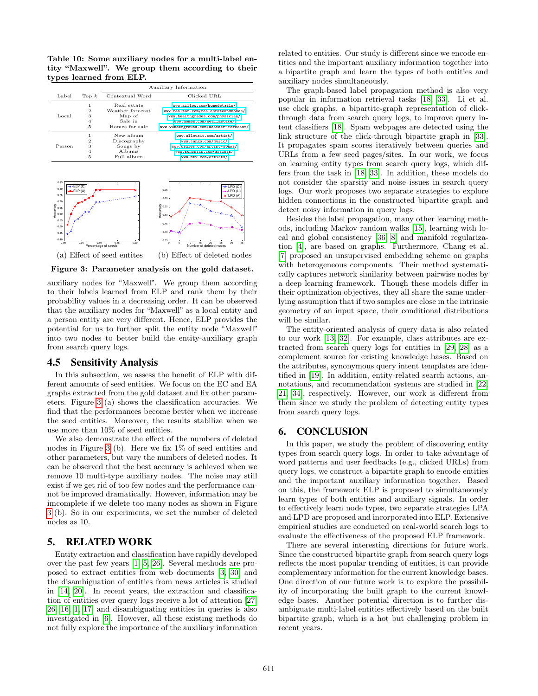<span id="page-8-0"></span>Table 10: Some auxiliary nodes for a multi-label entity "Maxwell". We group them according to their types learned from ELP.

|        |                                    | Auxiliary Information                                                  |                                                                                                                                                                               |
|--------|------------------------------------|------------------------------------------------------------------------|-------------------------------------------------------------------------------------------------------------------------------------------------------------------------------|
| Label  | Top $k$                            | Contextual Word                                                        | Clicked URL                                                                                                                                                                   |
| Local  | 1<br>2<br>3<br>$\overline{4}$<br>5 | Real estate<br>Weather forecast<br>Map of<br>Sale in<br>Homes for sale | www.zillow.com/homedetails/<br>www.realtor.com/realestateandhomes/<br>www.healthgrades.com/physician/<br>www.homes.com/Real Estate/<br>www.wunderground.com/weather-forecast/ |
| Person | 2<br>3<br>$\overline{4}$<br>5      | New album<br>Discography<br>Songs by<br>Albums<br>Full album           | www.allmusic.com/artist/<br>www.jango.com/music/<br>www.oldies.com/artist-songs/<br>www.songkick.com/artists/<br>www.mtv.com/artists/                                         |



<span id="page-8-1"></span>Figure 3: Parameter analysis on the gold dataset.

auxiliary nodes for "Maxwell". We group them according to their labels learned from ELP and rank them by their probability values in a decreasing order. It can be observed that the auxiliary nodes for "Maxwell" as a local entity and a person entity are very different. Hence, ELP provides the potential for us to further split the entity node "Maxwell" into two nodes to better build the entity-auxiliary graph from search query logs.

#### 4.5 Sensitivity Analysis

In this subsection, we assess the benefit of ELP with different amounts of seed entities. We focus on the EC and EA graphs extracted from the gold dataset and fix other parameters. Figure [3](#page-8-1) (a) shows the classification accuracies. We find that the performances become better when we increase the seed entities. Moreover, the results stabilize when we use more than 10% of seed entities.

We also demonstrate the effect of the numbers of deleted nodes in Figure [3](#page-8-1) (b). Here we fix 1% of seed entities and other parameters, but vary the numbers of deleted nodes. It can be observed that the best accuracy is achieved when we remove 10 multi-type auxiliary nodes. The noise may still exist if we get rid of too few nodes and the performance cannot be improved dramatically. However, information may be imcomplete if we delete too many nodes as shown in Figure [3](#page-8-1) (b). So in our experiments, we set the number of deleted nodes as 10.

## 5. RELATED WORK

Entity extraction and classification have rapidly developed over the past few years [\[1,](#page-9-11) [5,](#page-9-24) [26\]](#page-9-8). Several methods are proposed to extract entities from web documents [\[3,](#page-9-2) [30\]](#page-9-4) and the disambiguation of entities from news articles is studied in [\[14,](#page-9-5) [20\]](#page-9-6). In recent years, the extraction and classification of entities over query logs receive a lot of attention [\[27,](#page-9-25) [26,](#page-9-8) [16,](#page-9-7) [1,](#page-9-11) [17\]](#page-9-12) and disambiguating entities in queries is also investigated in [\[6\]](#page-9-9). However, all these existing methods do not fully explore the importance of the auxiliary information

related to entities. Our study is different since we encode entities and the important auxiliary information together into a bipartite graph and learn the types of both entities and auxiliary nodes simultaneously.

The graph-based label propagation method is also very popular in information retrieval tasks [\[18,](#page-9-16) [33\]](#page-9-17). Li et al. use click graphs, a bipartite-graph representation of clickthrough data from search query logs, to improve query intent classifiers [\[18\]](#page-9-16). Spam webpages are detected using the link structure of the click-through bipartite graph in [\[33\]](#page-9-17). It propagates spam scores iteratively between queries and URLs from a few seed pages/sites. In our work, we focus on learning entity types from search query logs, which differs from the task in [\[18,](#page-9-16) [33\]](#page-9-17). In addition, these models do not consider the sparsity and noise issues in search query logs. Our work proposes two separate strategies to explore hidden connections in the constructed bipartite graph and detect noisy information in query logs.

Besides the label propagation, many other learning methods, including Markov random walks [\[15\]](#page-9-26), learning with local and global consistency [\[36,](#page-9-14) [8\]](#page-9-27) and manifold regularization [\[4\]](#page-9-28), are based on graphs. Furthermore, Chang et al. [\[7\]](#page-9-29) proposed an unsupervised embedding scheme on graphs with heterogeneous components. Their method systematically captures network similarity between pairwise nodes by a deep learning framework. Though these models differ in their optimization objectives, they all share the same underlying assumption that if two samples are close in the intrinsic geometry of an input space, their conditional distributions will be similar.

The entity-oriented analysis of query data is also related to our work [\[13,](#page-9-30) [32\]](#page-9-31). For example, class attributes are extracted from search query logs for entities in [\[29,](#page-9-32) [28\]](#page-9-33) as a complement source for existing knowledge bases. Based on the attributes, synonymous query intent templates are identified in [\[19\]](#page-9-34). In addition, entity-related search actions, annotations, and recommendation systems are studied in [\[22,](#page-9-1) [21,](#page-9-35) [34\]](#page-9-36), respectively. However, our work is different from them since we study the problem of detecting entity types from search query logs.

## 6. CONCLUSION

In this paper, we study the problem of discovering entity types from search query logs. In order to take advantage of word patterns and user feedbacks (e.g., clicked URLs) from query logs, we construct a bipartite graph to encode entities and the important auxiliary information together. Based on this, the framework ELP is proposed to simultaneously learn types of both entities and auxiliary signals. In order to effectively learn node types, two separate strategies LPA and LPD are proposed and incorporated into ELP. Extensive empirical studies are conducted on real-world search logs to evaluate the effectiveness of the proposed ELP framework.

There are several interesting directions for future work. Since the constructed bipartite graph from search query logs reflects the most popular trending of entities, it can provide complementary information for the current knowledge bases. One direction of our future work is to explore the possibility of incorporating the built graph to the current knowledge bases. Another potential direction is to further disambiguate multi-label entities effectively based on the built bipartite graph, which is a hot but challenging problem in recent years.